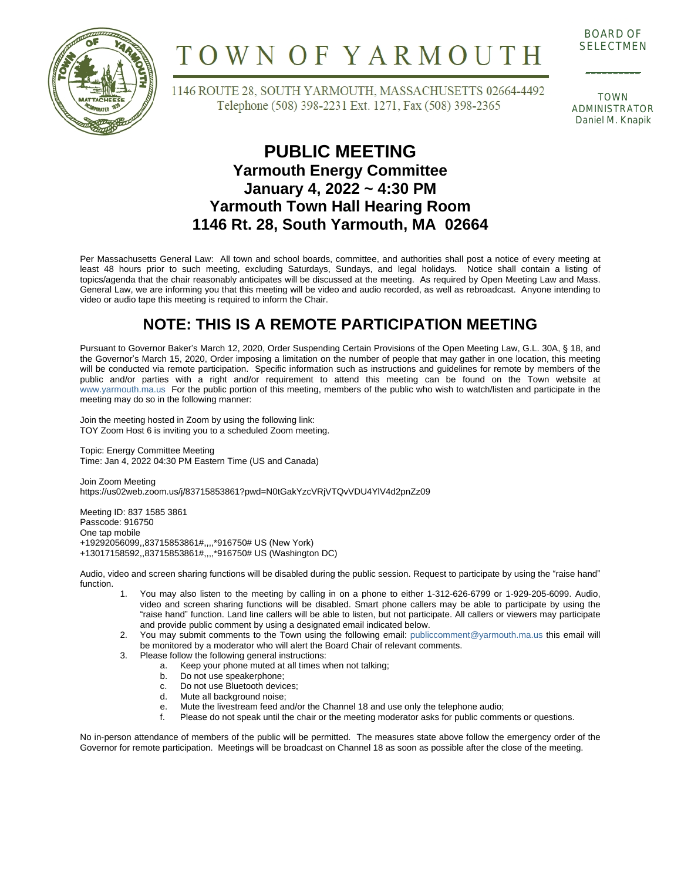

# TOWN OF YARMOUTH

BOARD OF SELECTMEN

 $\overline{\phantom{a}}$ 

1146 ROUTE 28, SOUTH YARMOUTH, MASSACHUSETTS 02664-4492 Telephone (508) 398-2231 Ext. 1271, Fax (508) 398-2365

TOWN ADMINISTRATOR Daniel M. Knapik

#### **PUBLIC MEETING Yarmouth Energy Committee January 4, 2022 ~ 4:30 PM Yarmouth Town Hall Hearing Room 1146 Rt. 28, South Yarmouth, MA 02664**

Per Massachusetts General Law: All town and school boards, committee, and authorities shall post a notice of every meeting at least 48 hours prior to such meeting, excluding Saturdays, Sundays, and legal holidays. Notice shall contain a listing of topics/agenda that the chair reasonably anticipates will be discussed at the meeting. As required by Open Meeting Law and Mass. General Law, we are informing you that this meeting will be video and audio recorded, as well as rebroadcast. Anyone intending to video or audio tape this meeting is required to inform the Chair.

### **NOTE: THIS IS A REMOTE PARTICIPATION MEETING**

Pursuant to Governor Baker's March 12, 2020, Order Suspending Certain Provisions of the Open Meeting Law, G.L. 30A, § 18, and the Governor's March 15, 2020, Order imposing a limitation on the number of people that may gather in one location, this meeting will be conducted via remote participation. Specific information such as instructions and guidelines for remote by members of the public and/or parties with a right and/or requirement to attend this meeting can be found on the Town website at [www.yarmouth.ma.us](http://www.yarmouth.ma.us) For the public portion of this meeting, members of the public who wish to watch/listen and participate in the meeting may do so in the following manner:

Join the meeting hosted in Zoom by using the following link: TOY Zoom Host 6 is inviting you to a scheduled Zoom meeting.

Topic: Energy Committee Meeting Time: Jan 4, 2022 04:30 PM Eastern Time (US and Canada)

Join Zoom Meeting https://us02web.zoom.us/j/83715853861?pwd=N0tGakYzcVRjVTQvVDU4YlV4d2pnZz09

Meeting ID: 837 1585 3861 Passcode: 916750 One tap mobile +19292056099,,83715853861#,,,,\*916750# US (New York) +13017158592,,83715853861#,,,,\*916750# US (Washington DC)

Audio, video and screen sharing functions will be disabled during the public session. Request to participate by using the "raise hand" function.

- 1. You may also listen to the meeting by calling in on a phone to either 1-312-626-6799 or 1-929-205-6099. Audio, video and screen sharing functions will be disabled. Smart phone callers may be able to participate by using the "raise hand" function. Land line callers will be able to listen, but not participate. All callers or viewers may participate and provide public comment by using a designated email indicated below.
- 2. You may submit comments to the Town using the following email: [publiccomment@yarmouth.ma.us](mailto:publiccomment@yarmouth.ma.us) this email will be monitored by a moderator who will alert the Board Chair of relevant comments.
- 3. Please follow the following general instructions:
	- a. Keep your phone muted at all times when not talking;<br>b. Do not use speakerphone:
	-
	- b. Do not use speakerphone;<br>c. Do not use Bluetooth device c. Do not use Bluetooth devices;<br>d. Mute all background noise;
	- Mute all background noise;
	- e. Mute the livestream feed and/or the Channel 18 and use only the telephone audio;<br>f. Please do not speak until the chair or the meeting moderator asks for public comme
	- Please do not speak until the chair or the meeting moderator asks for public comments or questions.

No in-person attendance of members of the public will be permitted. The measures state above follow the emergency order of the Governor for remote participation. Meetings will be broadcast on Channel 18 as soon as possible after the close of the meeting.